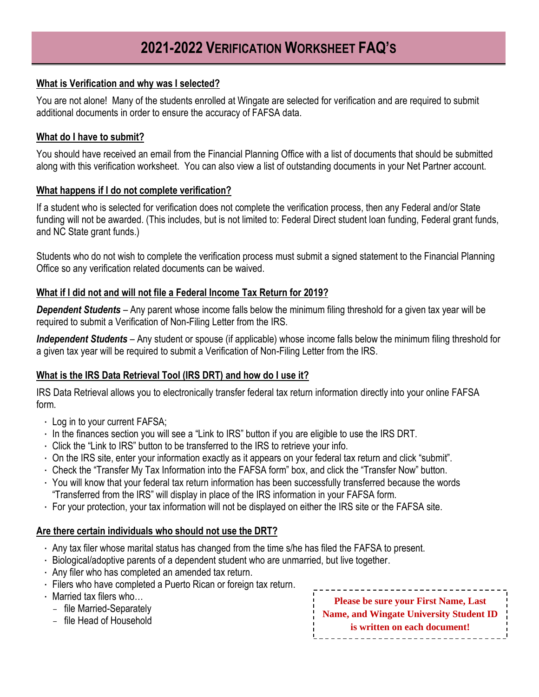#### **What is Verification and why was I selected?**

You are not alone! Many of the students enrolled at Wingate are selected for verification and are required to submit additional documents in order to ensure the accuracy of FAFSA data.

#### **What do I have to submit?**

You should have received an email from the Financial Planning Office with a list of documents that should be submitted along with this verification worksheet. You can also view a list of outstanding documents in your Net Partner account.

#### **What happens if I do not complete verification?**

If a student who is selected for verification does not complete the verification process, then any Federal and/or State funding will not be awarded. (This includes, but is not limited to: Federal Direct student loan funding, Federal grant funds, and NC State grant funds.)

Students who do not wish to complete the verification process must submit a signed statement to the Financial Planning Office so any verification related documents can be waived.

### **What if I did not and will not file a Federal Income Tax Return for 2019?**

*Dependent Students* – Any parent whose income falls below the minimum filing threshold for a given tax year will be required to submit a Verification of Non-Filing Letter from the IRS.

*Independent Students* – Any student or spouse (if applicable) whose income falls below the minimum filing threshold for a given tax year will be required to submit a Verification of Non-Filing Letter from the IRS.

### **What is the IRS Data Retrieval Tool (IRS DRT) and how do I use it?**

IRS Data Retrieval allows you to electronically transfer federal tax return information directly into your online FAFSA form.

- Log in to your current FAFSA;
- In the finances section you will see a "Link to IRS" button if you are eligible to use the IRS DRT.
- Click the "Link to IRS" button to be transferred to the IRS to retrieve your info.
- On the IRS site, enter your information exactly as it appears on your federal tax return and click "submit".
- Check the "Transfer My Tax Information into the FAFSA form" box, and click the "Transfer Now" button.
- You will know that your federal tax return information has been successfully transferred because the words "Transferred from the IRS" will display in place of the IRS information in your FAFSA form.
- For your protection, your tax information will not be displayed on either the IRS site or the FAFSA site.

#### **Are there certain individuals who should not use the DRT?**

- Any tax filer whose marital status has changed from the time s/he has filed the FAFSA to present.
- Biological/adoptive parents of a dependent student who are unmarried, but live together.
- Any filer who has completed an amended tax return.
- Filers who have completed a Puerto Rican or foreign tax return.
- Married tax filers who…
	- file Married-Separately
	- file Head of Household

**Please be sure your First Name, Last Name, and Wingate University Student ID is written on each document!**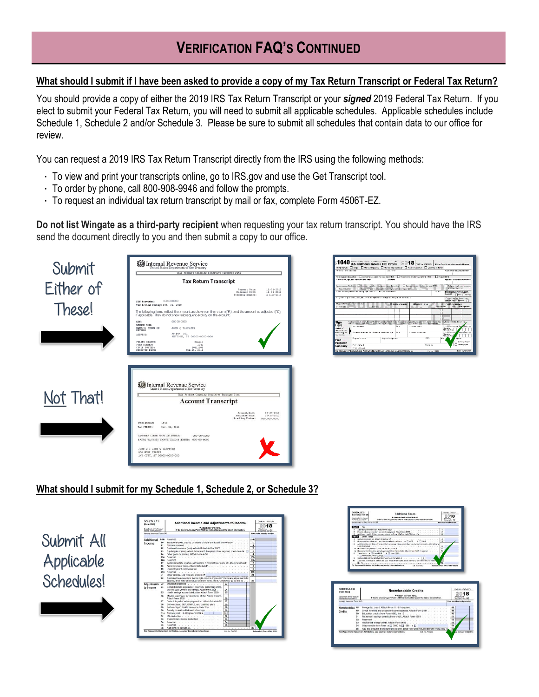# **VERIFICATION FAQ'S CONTINUED**

### **What should I submit if I have been asked to provide a copy of my Tax Return Transcript or Federal Tax Return?**

You should provide a copy of either the 2019 IRS Tax Return Transcript or your *signed* 2019 Federal Tax Return. If you elect to submit your Federal Tax Return, you will need to submit all applicable schedules. Applicable schedules include Schedule 1, Schedule 2 and/or Schedule 3. Please be sure to submit all schedules that contain data to our office for review.

You can request a 2019 IRS Tax Return Transcript directly from the IRS using the following methods:

- To view and print your transcripts online, go to IRS.gov and use the Get Transcript tool.
- To order by phone, call 800-908-9946 and follow the prompts.
- To request an individual tax return transcript by mail or fax, complete Form 4506T-EZ.

**Do not list Wingate as a third-party recipient** when requesting your tax return transcript. You should have the IRS send the document directly to you and then submit a copy to our office.





### **What should I submit for my Schedule 1, Schedule 2, or Schedule 3?**



| <b>Constituted of the Trustees</b>                                                                                                                         |                                           |                                                                       | > Attach to Form 1040 or 1040-SR.                                                                                                                                                           |                |                |                                        | 2018                         |                                                                      |
|------------------------------------------------------------------------------------------------------------------------------------------------------------|-------------------------------------------|-----------------------------------------------------------------------|---------------------------------------------------------------------------------------------------------------------------------------------------------------------------------------------|----------------|----------------|----------------------------------------|------------------------------|----------------------------------------------------------------------|
| Internal Fleuenue Cervice                                                                                                                                  | Marnaga danyar sa Alam telep ay toto di R |                                                                       | > Go to www.ins.pov/form.td40 for instructions and the latest internation.                                                                                                                  |                |                | Your social security excellent         | Atachment<br>Seguence Fo. 02 |                                                                      |
|                                                                                                                                                            |                                           |                                                                       |                                                                                                                                                                                             |                |                |                                        |                              |                                                                      |
| Tax<br>Port II                                                                                                                                             |                                           |                                                                       |                                                                                                                                                                                             |                |                |                                        |                              |                                                                      |
|                                                                                                                                                            |                                           |                                                                       | Alternative minimum tax, Attach Form 6251<br>Excoss advance promium fax credit repayment, Attach Form 0962<br>3 Add lines 1 and 2. Enter here and include on Form 1040 or 1040-SR, line 12b |                |                | Ŧ<br>$\overline{\phantom{a}}$<br>3     |                              |                                                                      |
|                                                                                                                                                            | <b>Post II</b> Other Taxes                |                                                                       |                                                                                                                                                                                             |                |                |                                        |                              |                                                                      |
|                                                                                                                                                            |                                           |                                                                       |                                                                                                                                                                                             |                |                | Ŧ                                      |                              |                                                                      |
| a<br>ñ                                                                                                                                                     |                                           |                                                                       | Unreported social security and Medicare tax from Farm: a 34137 b 3419<br>Additional tax on IRAs, other qualified retirement plans, and other tax-favored accounts. Attach Form              |                |                | s                                      |                              |                                                                      |
|                                                                                                                                                            |                                           |                                                                       |                                                                                                                                                                                             |                |                | ٠                                      |                              |                                                                      |
|                                                                                                                                                            |                                           |                                                                       |                                                                                                                                                                                             |                |                | 75                                     |                              |                                                                      |
| $\mathbf{a}$                                                                                                                                               | Tanges (room as III Forem 1981)           |                                                                       | to Hepasment of Stab-Sme farmebuyer credit from Form 6405. Attach Form 5405 if majured<br>$b$ $\Box$ From 1962.                                                                             |                |                | T <sub>0</sub>                         |                              |                                                                      |
|                                                                                                                                                            | e il trattuttorra unter cockde            |                                                                       |                                                                                                                                                                                             |                |                |                                        |                              |                                                                      |
|                                                                                                                                                            |                                           |                                                                       | 9 Sociion 965 not tax liability installment from Porm 965-A 3 9                                                                                                                             |                |                |                                        |                              |                                                                      |
| ŧ۵                                                                                                                                                         |                                           |                                                                       | Add lines 4 Direcci) II. These are your belat other boxes. Enter here and on Form 1040 or 1040-                                                                                             |                |                | <b>ALCOHOL</b>                         |                              |                                                                      |
| [0.015]                                                                                                                                                    |                                           | For Paperwork Reduction Act Notice, see your tax return instructions. |                                                                                                                                                                                             | Out No. 714782 |                | Silvering of Done 1040 or 1040-078 and |                              |                                                                      |
|                                                                                                                                                            |                                           |                                                                       |                                                                                                                                                                                             |                |                |                                        |                              |                                                                      |
|                                                                                                                                                            |                                           |                                                                       |                                                                                                                                                                                             |                |                |                                        |                              |                                                                      |
|                                                                                                                                                            |                                           |                                                                       |                                                                                                                                                                                             |                |                |                                        |                              |                                                                      |
| <b>SCHEDULE 3</b>                                                                                                                                          |                                           |                                                                       | Nonrefundable Credits                                                                                                                                                                       |                |                |                                        |                              | CAAD No. 1545-0074                                                   |
| (Form 1040)                                                                                                                                                |                                           |                                                                       |                                                                                                                                                                                             |                |                |                                        |                              |                                                                      |
| Department of the Treasury                                                                                                                                 |                                           |                                                                       | Attach to Form 1040.<br>Co to www.irs.gov/Form1040 for instructions and the latest information.                                                                                             |                |                |                                        |                              | Amschansen                                                           |
|                                                                                                                                                            |                                           |                                                                       |                                                                                                                                                                                             |                |                |                                        |                              |                                                                      |
|                                                                                                                                                            |                                           |                                                                       |                                                                                                                                                                                             |                |                |                                        |                              |                                                                      |
| 48                                                                                                                                                         |                                           |                                                                       | Foreign tax credit. Attach Form 1116 if required                                                                                                                                            |                |                |                                        | 48                           |                                                                      |
| 49                                                                                                                                                         |                                           |                                                                       | Credit for child and dependent care expenses. Attach Form 2441                                                                                                                              |                |                |                                        | 49                           |                                                                      |
| fio                                                                                                                                                        |                                           |                                                                       | Education credits from Form 8863, line 19                                                                                                                                                   |                |                |                                        | fio                          |                                                                      |
| 51                                                                                                                                                         |                                           |                                                                       | Retirement savings contributions credit. Attach Form 8880                                                                                                                                   |                |                |                                        | 51                           |                                                                      |
| 52                                                                                                                                                         |                                           |                                                                       |                                                                                                                                                                                             |                |                |                                        | 52                           |                                                                      |
| 53                                                                                                                                                         |                                           |                                                                       | Residential energy credit. Attach Form 5695                                                                                                                                                 |                |                |                                        | 63                           |                                                                      |
| 54                                                                                                                                                         |                                           |                                                                       | Other credits from Form a [3 3800 b [3] 8801 c [3]                                                                                                                                          |                |                |                                        | 54                           |                                                                      |
| 55                                                                                                                                                         |                                           |                                                                       | Add the amounts in the far right column. Enter here and include on Form 1040, line 12,                                                                                                      |                |                |                                        | 65                           |                                                                      |
|                                                                                                                                                            |                                           |                                                                       |                                                                                                                                                                                             |                | Cat No. 714809 |                                        |                              |                                                                      |
|                                                                                                                                                            |                                           |                                                                       |                                                                                                                                                                                             |                |                |                                        |                              | Sequence No. 03<br>Your social security number<br>& 3 Form 1040 2018 |
| Internal Revenue Service<br>Namesi shown on Form 1040<br>Nonrefundable<br>Credits<br>For Paperwork Reduction Act Notice, see your tax return instructions. |                                           |                                                                       |                                                                                                                                                                                             |                |                |                                        |                              |                                                                      |
|                                                                                                                                                            |                                           |                                                                       |                                                                                                                                                                                             |                |                |                                        |                              |                                                                      |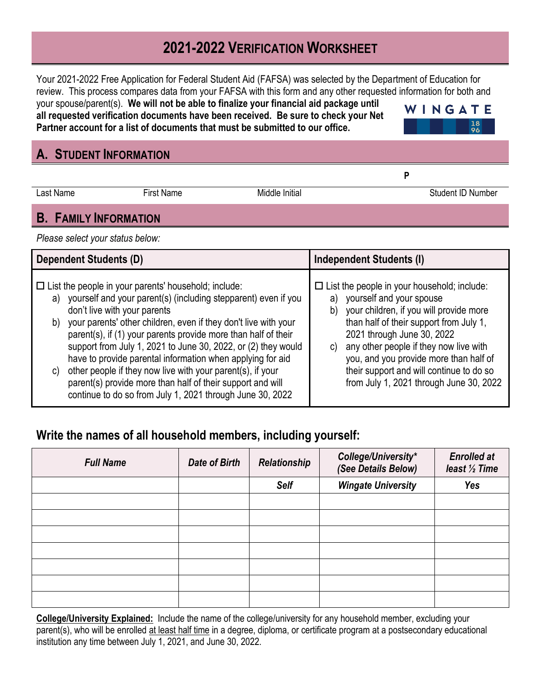# **2021-2022 VERIFICATION WORKSHEET**

Your 2021-2022 Free Application for Federal Student Aid (FAFSA) was selected by the Department of Education for review. This process compares data from your FAFSA with this form and any other requested information for both and

your spouse/parent(s). **We will not be able to finalize your financial aid package until all requested verification documents have been received. Be sure to check your Net Partner account for a list of documents that must be submitted to our office.** 



**P** 

## **A. STUDENT INFORMATION**

Last Name First Name **First Name** Middle Initial **Number** Student ID Number

## **B. FAMILY INFORMATION**

*Please select your status below:*

| <b>Dependent Students (D)</b>                                                                                                                                                                                                                                                                                                                                                                                                                                                                                                                                                                                                          | <b>Independent Students (I)</b>                                                                                                                                                                                                                                                                                                                                                                 |
|----------------------------------------------------------------------------------------------------------------------------------------------------------------------------------------------------------------------------------------------------------------------------------------------------------------------------------------------------------------------------------------------------------------------------------------------------------------------------------------------------------------------------------------------------------------------------------------------------------------------------------------|-------------------------------------------------------------------------------------------------------------------------------------------------------------------------------------------------------------------------------------------------------------------------------------------------------------------------------------------------------------------------------------------------|
| $\Box$ List the people in your parents' household; include:<br>a) yourself and your parent(s) (including stepparent) even if you<br>don't live with your parents<br>b) your parents' other children, even if they don't live with your<br>parent(s), if (1) your parents provide more than half of their<br>support from July 1, 2021 to June 30, 2022, or (2) they would<br>have to provide parental information when applying for aid<br>other people if they now live with your parent(s), if your<br>C)<br>parent(s) provide more than half of their support and will<br>continue to do so from July 1, 2021 through June 30, 2022 | $\Box$ List the people in your household; include:<br>yourself and your spouse<br>a)<br>your children, if you will provide more<br>b)<br>than half of their support from July 1,<br>2021 through June 30, 2022<br>any other people if they now live with<br>C)<br>you, and you provide more than half of<br>their support and will continue to do so<br>from July 1, 2021 through June 30, 2022 |

# **Write the names of all household members, including yourself:**

| <b>Full Name</b> | <b>Date of Birth</b> | Relationship | College/University*<br>(See Details Below) | <b>Enrolled at</b><br>least $\frac{1}{2}$ Time |
|------------------|----------------------|--------------|--------------------------------------------|------------------------------------------------|
|                  |                      | Self         | <b>Wingate University</b>                  | Yes                                            |
|                  |                      |              |                                            |                                                |
|                  |                      |              |                                            |                                                |
|                  |                      |              |                                            |                                                |
|                  |                      |              |                                            |                                                |
|                  |                      |              |                                            |                                                |
|                  |                      |              |                                            |                                                |
|                  |                      |              |                                            |                                                |

**College/University Explained:** Include the name of the college/university for any household member, excluding your parent(s), who will be enrolled at least half time in a degree, diploma, or certificate program at a postsecondary educational institution any time between July 1, 2021, and June 30, 2022.